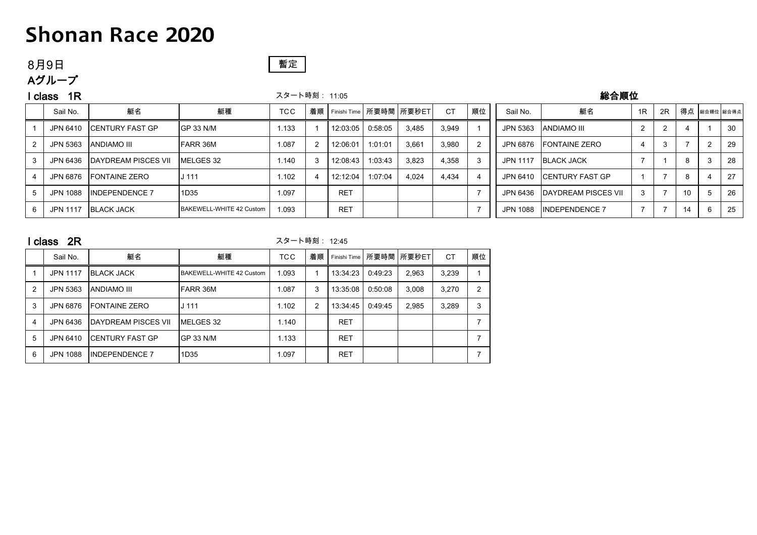## 8月9日

Aグループ

## 暫定

### l class 1R スタート時刻: 11:05 総合順位

| Sail No.        | 艇名                         | 艇種                       | <b>TCC</b> | 着順 |            |         | Finishi Time   所要時間   所要秒ET | <b>CT</b> | 順位 | Sail No. | 艇名                         | 1R | 2R |    | 得点 総合順位 総合得点 |     |
|-----------------|----------------------------|--------------------------|------------|----|------------|---------|-----------------------------|-----------|----|----------|----------------------------|----|----|----|--------------|-----|
| JPN 6410        | <b>ICENTURY FAST GP</b>    | GP 33 N/M                | 1.133      |    | 12:03:05   | 0:58:05 | 3.485                       | 3,949     |    | JPN 5363 | ANDIAMO III                |    |    |    |              | 30  |
| JPN 5363        | <b>ANDIAMO III</b>         | FARR 36M                 | 1.087      |    | 12:06:01   | 1:01:01 | 3.661                       | 3.980     |    | JPN 6876 | <b>FONTAINE ZERO</b>       |    |    |    |              | 29  |
| JPN 6436        | <b>DAYDREAM PISCES VII</b> | MELGES 32                | 1.140      |    | 12:08:43   | 1:03:43 | 3.823                       | 4.358     | 3  | JPN 1117 | <b>BLACK JACK</b>          |    |    | 8  |              | 28  |
| JPN 6876        | <b>IFONTAINE ZERO</b>      | J 111                    | 1.102      |    | 12:12:04   | 1:07:04 | 4.024                       | 4.434     |    |          | JPN 6410 CENTURY FAST GP   |    |    | ň  |              | 27  |
| JPN 1088        | <b>IINDEPENDENCE 7</b>     | 1D35                     | 1.097      |    | <b>RET</b> |         |                             |           |    | JPN 6436 | <b>DAYDREAM PISCES VII</b> |    |    | 10 |              | -26 |
| <b>JPN 1117</b> | <b>BLACK JACK</b>          | BAKEWELL-WHITE 42 Custom | 1.093      |    | <b>RET</b> |         |                             |           |    | JPN 1088 | <b>INDEPENDENCE 7</b>      |    |    | 14 |              | 25  |

|   | 2R<br>class     |                       |                          | スタート時刻: 12:45 |                |              |         |              |           |    |  |  |  |
|---|-----------------|-----------------------|--------------------------|---------------|----------------|--------------|---------|--------------|-----------|----|--|--|--|
|   | Sail No.        | 艇名                    | 艇種                       | <b>TCC</b>    | 着順             | Finishi Time |         | 所要時間   所要秒ET | <b>CT</b> | 順位 |  |  |  |
|   | <b>JPN 1117</b> | <b>BLACK JACK</b>     | BAKEWELL-WHITE 42 Custom | 1.093         |                | 13:34:23     | 0:49:23 | 2,963        | 3,239     | 1  |  |  |  |
| 2 | JPN 5363        | IANDIAMO III          | <b>FARR 36M</b>          | 1.087         | 3              | 13:35:08     | 0:50:08 | 3.008        | 3.270     | 2  |  |  |  |
| 3 | JPN 6876        | <b>IFONTAINE ZERO</b> | $J$ 111                  | 1.102         | $\overline{2}$ | 13:34:45     | 0:49:45 | 2,985        | 3,289     | 3  |  |  |  |
| 4 | JPN 6436        | IDAYDREAM PISCES VII  | MELGES 32                | 1.140         |                | <b>RET</b>   |         |              |           |    |  |  |  |
| 5 | JPN 6410        | ICENTURY FAST GP      | GP 33 N/M                | 1.133         |                | <b>RET</b>   |         |              |           |    |  |  |  |
| 6 | JPN 1088        | <b>INDEPENDENCE 7</b> | 1D35                     | 1.097         |                | <b>RET</b>   |         |              |           | 7  |  |  |  |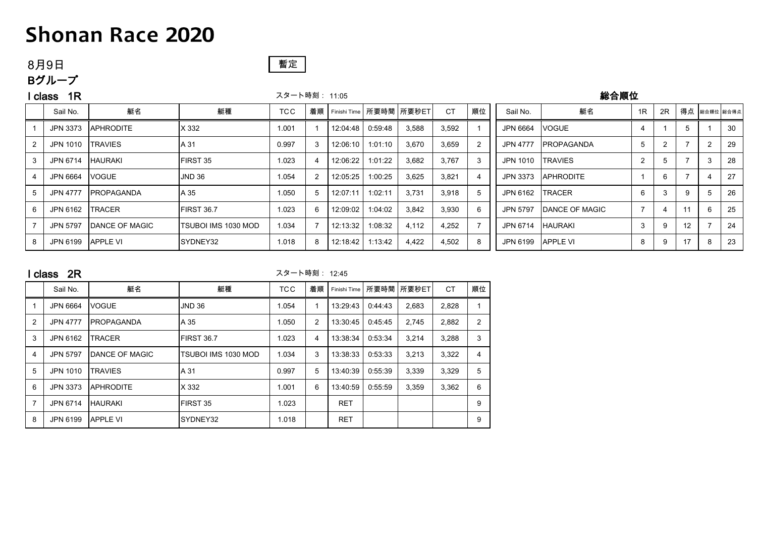## 8月9日

Bグループ

## 暫定

### l class 1R スタート時刻: 11:05 総合順位

|    | Sail No.        | 艇名                    | 艇種                   | <b>TCC</b> | 着順 |            |         | Finishi Time   所要時間   所要秒ET | <b>CT</b> | 順位 | Sail No.          | 艇名                 | 1R             | 2R |                          |    | 得点 総合順位 総合得点 |
|----|-----------------|-----------------------|----------------------|------------|----|------------|---------|-----------------------------|-----------|----|-------------------|--------------------|----------------|----|--------------------------|----|--------------|
|    | JPN 3373        | <b>APHRODITE</b>      | X 332                | 1.001      |    | 12:04:48   | 0:59:48 | 3,588                       | 3,592     |    | JPN 6664          | <b>VOGUE</b>       | 4              |    |                          |    | -30          |
|    | JPN 1010        | <b>TRAVIES</b>        | A 31                 | 0.997      |    | 12:06:10   | 1:01:10 | 3,670                       | 3,659     |    | JPN 4777          | <b>IPROPAGANDA</b> | 5              |    |                          |    | 29           |
|    | JPN 6714        | <b>HAURAKI</b>        | FIRST 35             | 1.023      |    | 12:06:22 l | 1:01:22 | 3,682                       | 3,767     | 3  | JPN 1010 TRAVIES  |                    | 2              |    |                          | 3  | 28           |
|    | JPN 6664        | <b>VOGUE</b>          | <b>JND 36</b>        | 1.054      |    | 12:05:25   | 1:00:25 | 3,625                       | 3,821     |    | JPN 3373          | <b>APHRODITE</b>   |                | 6  | $\overline{\phantom{a}}$ |    | 27           |
|    | <b>JPN 4777</b> | <b>IPROPAGANDA</b>    | A 35                 | 1.050      |    | 12:07:11   | 1:02:11 | 3,731                       | 3.918     |    | JPN 6162          | <b>ITRACER</b>     | 6              |    | 9                        | .5 | 26           |
| -6 | JPN 6162        | <b>TRACER</b>         | <b>IFIRST 36.7</b>   | 1.023      | 6  | 12:09:02   | 1:04:02 | 3,842                       | 3.930     | 6  | <b>JPN 5797</b>   | DANCE OF MAGIC     | $\overline{ }$ |    |                          | 6  | 25           |
|    | <b>JPN 5797</b> | <b>DANCE OF MAGIC</b> | ITSUBOI IMS 1030 MOD | 1.034      |    | 12:13:32   | 1:08:32 | 4,112                       | 4,252     |    | JPN 6714 HAURAKI  |                    | 3              | 9  | 12                       |    | 24           |
| 8  | JPN 6199        | <b>APPLE VI</b>       | SYDNEY32             | 1.018      | 8  | 12:18:42   | 1:13:42 | 4,422                       | 4,502     | 8  | JPN 6199 APPLE VI |                    | 8              | 9  | 17                       | 8  | 23           |

### <mark>I class 2R</mark> 2R 2020 - アンプレント 2010 スタート時刻: 12:45

|   | Sail No.        | 艇名                | 艇種                  | <b>TCC</b> | 着順             | Finishi Time | 所要時間    | 所要秒ET | <b>CT</b> | 順位             |
|---|-----------------|-------------------|---------------------|------------|----------------|--------------|---------|-------|-----------|----------------|
|   | JPN 6664        | <b>VOGUE</b>      | JND 36              | 1.054      |                | 13:29:43     | 0:44:43 | 2,683 | 2,828     |                |
| 2 | <b>JPN 4777</b> | <b>PROPAGANDA</b> | A 35                | 1.050      | $\overline{2}$ | 13:30:45     | 0:45:45 | 2,745 | 2,882     | $\overline{2}$ |
| 3 | JPN 6162        | <b>TRACER</b>     | FIRST 36.7          | 1.023      | 4              | 13:38:34     | 0:53:34 | 3.214 | 3.288     | 3              |
| 4 | <b>JPN 5797</b> | DANCE OF MAGIC    | TSUBOI IMS 1030 MOD | 1.034      | 3              | 13:38:33     | 0:53:33 | 3,213 | 3.322     | 4              |
| 5 | JPN 1010        | <b>TRAVIES</b>    | A 31                | 0.997      | 5              | 13:40:39     | 0:55:39 | 3,339 | 3.329     | 5              |
| 6 | JPN 3373        | <b>APHRODITE</b>  | X 332               | 1.001      | 6              | 13:40:59     | 0:55:59 | 3,359 | 3.362     | 6              |
| 7 | JPN 6714        | <b>HAURAKI</b>    | <b>FIRST 35</b>     | 1.023      |                | <b>RET</b>   |         |       |           | 9              |
| 8 | JPN 6199        | <b>APPLE VI</b>   | ISYDNEY32           | 1.018      |                | <b>RET</b>   |         |       |           | 9              |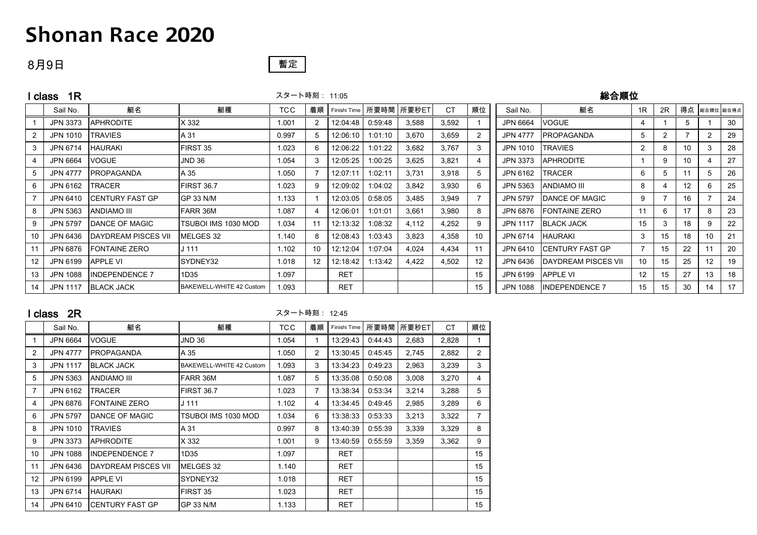### 8月9日



# l class 1R スタート時刻: 11:05 総合順位 Sail No. 艇名 艇種 TCC 着順 Finishi Time 所要時間 所要秒ET CT 順位 Sail No. 艇名 1R 2R 得点 総合順位 総合得点

|                 | <b>JPN 3373</b> | <b>APHRODITE</b>           | X 332                    | 1.001 |    | 12:04:48   | 0:59:48 | 3.588 | 3,592 |    | JPN 6664         | <b>VOGUE</b>                  |                |    | 5               |   | 30 |
|-----------------|-----------------|----------------------------|--------------------------|-------|----|------------|---------|-------|-------|----|------------------|-------------------------------|----------------|----|-----------------|---|----|
|                 | JPN 1010        | <b>TRAVIES</b>             | A 31                     | 0.997 | 5  | 12:06:10   | 1:01:10 | 3,670 | 3,659 |    | JPN 4777         | <b>IPROPAGANDA</b>            | 5              |    |                 | 2 | 29 |
|                 | JPN 6714        | <b>HAURAKI</b>             | FIRST 35                 | 1.023 | 6  | 12:06:22   | 1:01:22 | 3,682 | 3,767 | 3  | JPN 1010         | <b>TRAVIES</b>                | $\overline{2}$ |    | 10              |   | 28 |
|                 | JPN 6664        | <b>VOGUE</b>               | JND 36                   | 1.054 | 3  | 12:05:25   | 1:00:25 | 3.625 | 3,821 | -4 | <b>JPN 3373</b>  | <b>APHRODITE</b>              |                |    | 10              |   | 27 |
|                 | JPN 4777        | <b>PROPAGANDA</b>          | A 35                     | 1.050 |    | 12:07:11   | 1:02:11 | 3,731 | 3,918 | 5  | JPN 6162 ITRACER |                               | 6              |    | 11              |   | 26 |
|                 | JPN 6162        | <b>TRACER</b>              | <b>FIRST 36.7</b>        | 1.023 | 9  | 12:09:02   | 1:04:02 | 3,842 | 3,930 | 6  | JPN 5363         | ANDIAMO III                   | 8              |    | 12 <sup>2</sup> | 6 | 25 |
|                 | JPN 6410        | <b>ICENTURY FAST GP</b>    | GP 33 N/M                | 1.133 |    | 12:03:05   | 0:58:05 | 3,485 | 3,949 |    | <b>JPN 5797</b>  | <b>DANCE OF MAGIC</b>         | 9              |    | 16              |   | 24 |
|                 | JPN 5363        | ANDIAMO III                | FARR 36M                 | 1.087 |    | 12:06:01   | 1:01:01 | 3,661 | 3,980 | 8  |                  | JPN 6876 FONTAINE ZERO        | 11             |    | 17              | 8 | 23 |
|                 | <b>JPN 5797</b> | <b>DANCE OF MAGIC</b>      | TSUBOI IMS 1030 MOD      | 1.034 | 11 | 12:13:32   | 1:08:32 | 4,112 | 4.252 | 9  | JPN 1117         | <b>BLACK JACK</b>             | 15             |    | 18              | 9 | 22 |
| 10              | JPN 6436        | <b>DAYDREAM PISCES VII</b> | MELGES 32                | 1.140 | 8  | 12:08:43   | 1:03:43 | 3,823 | 4,358 | 10 | JPN 6714 HAURAKI |                               | 3              | 15 | 18              |   | 21 |
|                 | JPN 6876        | FONTAINE ZERO              | J 111                    | 1.102 | 10 | 12:12:04   | 1:07:04 | 4,024 | 4,434 |    |                  | JPN 6410 CENTURY FAST GP      |                | 15 | 22              |   | 20 |
| 12 <sup>°</sup> | JPN 6199        | <b>APPLE VI</b>            | SYDNEY32                 | 1.018 | 12 | 12:18:42   | 1:13:42 | 4,422 | 4,502 | 12 |                  | JPN 6436 IDAYDREAM PISCES VII | 10             | 15 | 25              |   | 19 |
| 13              | JPN 1088        | <b>IINDEPENDENCE 7</b>     | 1D35                     | 1.097 |    | <b>RET</b> |         |       |       | 15 | JPN 6199         | <b>APPLE VI</b>               | 12             | 15 | 27              |   | 18 |
| 14              | <b>JPN 1117</b> | <b>BLACK JACK</b>          | BAKEWELL-WHITE 42 Custom | 1.093 |    | <b>RET</b> |         |       |       | 15 | JPN 1088         | <b>INDEPENDENCE 7</b>         | 15             | 15 | 30              |   | 17 |

### <mark>I class 2R</mark> 2R 2020 - アンプレント 2010 スタート時刻: 12:45

|                | Sail No.        | 艇名                     | 艇種                       | <b>TCC</b> | 着順             | Finishi Time | 所要時間    | 所要秒ET | <b>CT</b> | 順位             |
|----------------|-----------------|------------------------|--------------------------|------------|----------------|--------------|---------|-------|-----------|----------------|
| 1              | JPN 6664        | <b>VOGUE</b>           | <b>JND 36</b>            | 1.054      | 1              | 13:29:43     | 0:44:43 | 2,683 | 2,828     | 1              |
| $\overline{2}$ | <b>JPN 4777</b> | <b>PROPAGANDA</b>      | A 35                     | 1.050      | 2              | 13:30:45     | 0.45:45 | 2,745 | 2,882     | $\overline{2}$ |
| 3              | <b>JPN 1117</b> | <b>BLACK JACK</b>      | BAKEWELL-WHITE 42 Custom | 1.093      | 3              | 13:34:23     | 0:49:23 | 2,963 | 3,239     | 3              |
| 5              | JPN 5363        | <b>ANDIAMO III</b>     | FARR 36M                 | 1.087      | 5              | 13:35:08     | 0:50:08 | 3,008 | 3,270     | 4              |
| $\overline{7}$ | JPN 6162        | <b>TRACER</b>          | FIRST 36.7               | 1.023      | $\overline{7}$ | 13:38:34     | 0:53:34 | 3,214 | 3,288     | 5              |
| 4              | JPN 6876        | FONTAINE ZERO          | J 111                    | 1.102      | 4              | 13:34:45     | 0:49:45 | 2,985 | 3,289     | 6              |
| 6              | JPN 5797        | <b>IDANCE OF MAGIC</b> | TSUBOI IMS 1030 MOD      | 1.034      | 6              | 13:38:33     | 0.53.33 | 3,213 | 3,322     | 7              |
| 8              | JPN 1010        | <b>TRAVIES</b>         | A 31                     | 0.997      | 8              | 13:40:39     | 0.55:39 | 3,339 | 3,329     | 8              |
| 9              | JPN 3373        | <b>APHRODITE</b>       | X 332                    | 1.001      | 9              | 13:40:59     | 0:55:59 | 3,359 | 3,362     | 9              |
| 10             | JPN 1088        | <b>INDEPENDENCE 7</b>  | 1D35                     | 1.097      |                | <b>RET</b>   |         |       |           | 15             |
| 11             | JPN 6436        | DAYDREAM PISCES VII    | MELGES 32                | 1.140      |                | <b>RET</b>   |         |       |           | 15             |
| 12             | JPN 6199        | <b>APPLE VI</b>        | SYDNEY32                 | 1.018      |                | <b>RET</b>   |         |       |           | 15             |
| 13             | JPN 6714        | <b>HAURAKI</b>         | FIRST 35                 | 1.023      |                | <b>RET</b>   |         |       |           | 15             |
| 14             | JPN 6410        | ICENTURY FAST GP       | GP 33 N/M                | 1.133      |                | RET          |         |       |           | 15             |